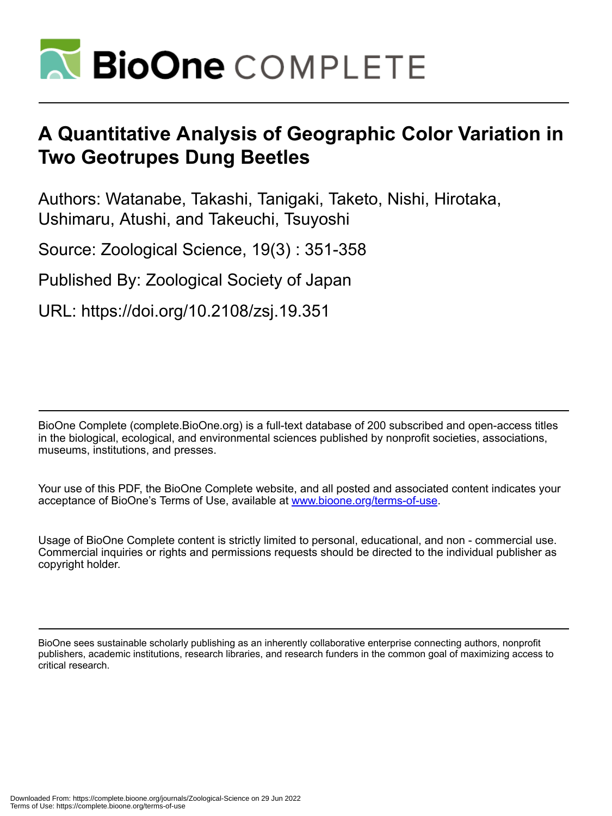

# **A Quantitative Analysis of Geographic Color Variation in Two Geotrupes Dung Beetles**

Authors: Watanabe, Takashi, Tanigaki, Taketo, Nishi, Hirotaka, Ushimaru, Atushi, and Takeuchi, Tsuyoshi

Source: Zoological Science, 19(3) : 351-358

Published By: Zoological Society of Japan

URL: https://doi.org/10.2108/zsj.19.351

BioOne Complete (complete.BioOne.org) is a full-text database of 200 subscribed and open-access titles in the biological, ecological, and environmental sciences published by nonprofit societies, associations, museums, institutions, and presses.

Your use of this PDF, the BioOne Complete website, and all posted and associated content indicates your acceptance of BioOne's Terms of Use, available at www.bioone.org/terms-of-use.

Usage of BioOne Complete content is strictly limited to personal, educational, and non - commercial use. Commercial inquiries or rights and permissions requests should be directed to the individual publisher as copyright holder.

BioOne sees sustainable scholarly publishing as an inherently collaborative enterprise connecting authors, nonprofit publishers, academic institutions, research libraries, and research funders in the common goal of maximizing access to critical research.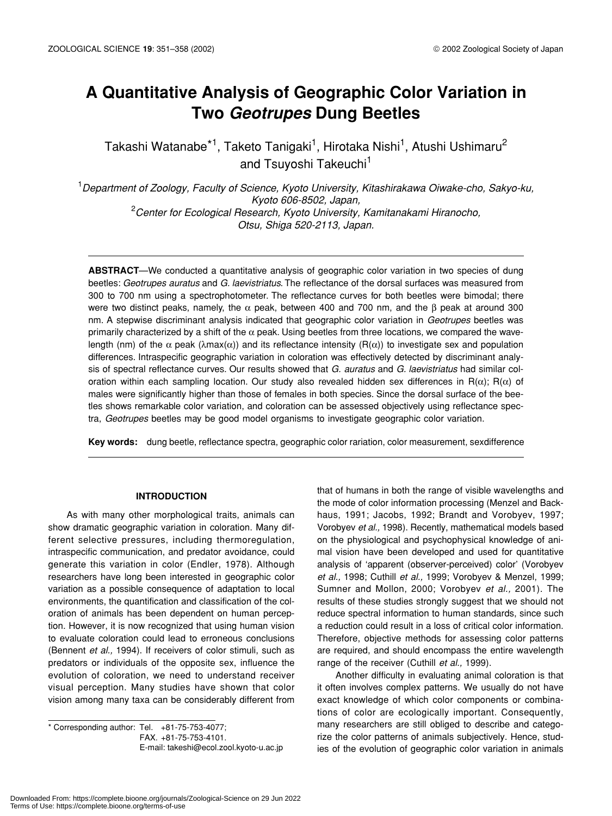# **A Quantitative Analysis of Geographic Color Variation in Two** *Geotrupes* **Dung Beetles**

Takashi Watanabe<sup>\*1</sup>, Taketo Tanigaki<sup>1</sup>, Hirotaka Nishi<sup>1</sup>, Atushi Ushimaru<sup>2</sup> and Tsuyoshi Takeuchi<sup>1</sup>

1 *Department of Zoology, Faculty of Science, Kyoto University, Kitashirakawa Oiwake-cho, Sakyo-ku, Kyoto 606-8502, Japan,* 2 *Center for Ecological Research, Kyoto University, Kamitanakami Hiranocho, Otsu, Shiga 520-2113, Japan.*

**ABSTRACT**—We conducted a quantitative analysis of geographic color variation in two species of dung beetles: *Geotrupes auratus* and *G. laevistriatus*. The reflectance of the dorsal surfaces was measured from 300 to 700 nm using a spectrophotometer. The reflectance curves for both beetles were bimodal; there were two distinct peaks, namely, the  $\alpha$  peak, between 400 and 700 nm, and the β peak at around 300 nm. A stepwise discriminant analysis indicated that geographic color variation in *Geotrupes* beetles was primarily characterized by a shift of the  $\alpha$  peak. Using beetles from three locations, we compared the wavelength (nm) of the  $\alpha$  peak ( $\lambda$ max( $\alpha$ )) and its reflectance intensity (R( $\alpha$ )) to investigate sex and population differences. Intraspecific geographic variation in coloration was effectively detected by discriminant analysis of spectral reflectance curves. Our results showed that *G. auratus* and *G. laevistriatus* had similar coloration within each sampling location. Our study also revealed hidden sex differences in R( $\alpha$ ); R( $\alpha$ ) of males were significantly higher than those of females in both species. Since the dorsal surface of the beetles shows remarkable color variation, and coloration can be assessed objectively using reflectance spectra, *Geotrupes* beetles may be good model organisms to investigate geographic color variation.

**Key words:** dung beetle, reflectance spectra, geographic color rariation, color measurement, sexdifference

# **INTRODUCTION**

As with many other morphological traits, animals can show dramatic geographic variation in coloration. Many different selective pressures, including thermoregulation, intraspecific communication, and predator avoidance, could generate this variation in color (Endler, 1978). Although researchers have long been interested in geographic color variation as a possible consequence of adaptation to local environments, the quantification and classification of the coloration of animals has been dependent on human perception. However, it is now recognized that using human vision to evaluate coloration could lead to erroneous conclusions (Bennent *et al.,* 1994). If receivers of color stimuli, such as predators or individuals of the opposite sex, influence the evolution of coloration, we need to understand receiver visual perception. Many studies have shown that color vision among many taxa can be considerably different from

\* Corresponding author: Tel. +81-75-753-4077; FAX. +81-75-753-4101. E-mail: takeshi@ecol.zool.kyoto-u.ac.jp that of humans in both the range of visible wavelengths and the mode of color information processing (Menzel and Backhaus, 1991; Jacobs, 1992; Brandt and Vorobyev, 1997; Vorobyev *et al.,* 1998). Recently, mathematical models based on the physiological and psychophysical knowledge of animal vision have been developed and used for quantitative analysis of 'apparent (observer-perceived) color' (Vorobyev *et al.,* 1998; Cuthill *et al.,* 1999; Vorobyev & Menzel, 1999; Sumner and Mollon, 2000; Vorobyev *et al.,* 2001). The results of these studies strongly suggest that we should not reduce spectral information to human standards, since such a reduction could result in a loss of critical color information. Therefore, objective methods for assessing color patterns are required, and should encompass the entire wavelength range of the receiver (Cuthill *et al.,* 1999).

Another difficulty in evaluating animal coloration is that it often involves complex patterns. We usually do not have exact knowledge of which color components or combinations of color are ecologically important. Consequently, many researchers are still obliged to describe and categorize the color patterns of animals subjectively. Hence, studies of the evolution of geographic color variation in animals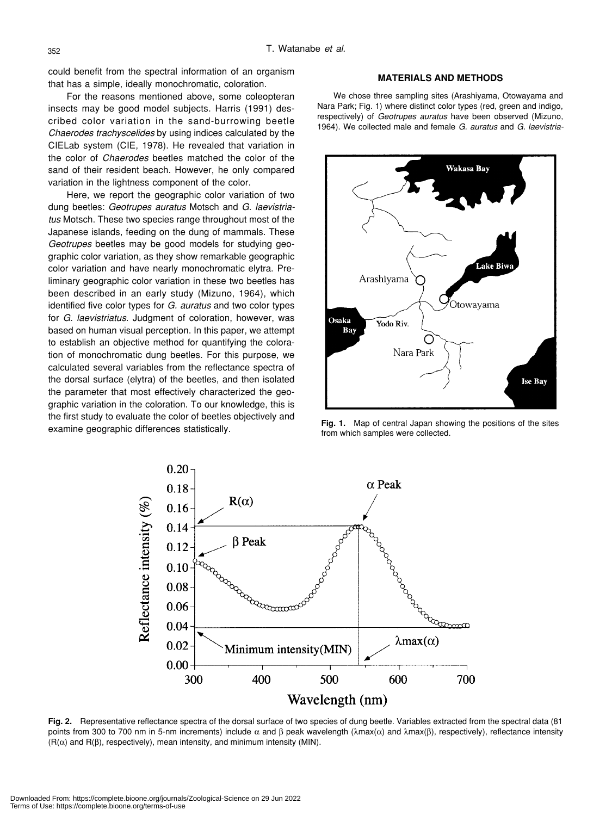could benefit from the spectral information of an organism that has a simple, ideally monochromatic, coloration.

For the reasons mentioned above, some coleopteran insects may be good model subjects. Harris (1991) described color variation in the sand-burrowing beetle *Chaerodes trachyscelides* by using indices calculated by the CIELab system (CIE, 1978). He revealed that variation in the color of *Chaerodes* beetles matched the color of the sand of their resident beach. However, he only compared variation in the lightness component of the color.

Here, we report the geographic color variation of two dung beetles: *Geotrupes auratus* Motsch and *G. laevistriatus* Motsch. These two species range throughout most of the Japanese islands, feeding on the dung of mammals. These *Geotrupes* beetles may be good models for studying geographic color variation, as they show remarkable geographic color variation and have nearly monochromatic elytra. Preliminary geographic color variation in these two beetles has been described in an early study (Mizuno, 1964), which identified five color types for *G. auratus* and two color types for *G. laevistriatus*. Judgment of coloration, however, was based on human visual perception. In this paper, we attempt to establish an objective method for quantifying the coloration of monochromatic dung beetles. For this purpose, we calculated several variables from the reflectance spectra of the dorsal surface (elytra) of the beetles, and then isolated the parameter that most effectively characterized the geographic variation in the coloration. To our knowledge, this is the first study to evaluate the color of beetles objectively and examine geographic differences statistically.

### **MATERIALS AND METHODS**

We chose three sampling sites (Arashiyama, Otowayama and Nara Park; Fig. 1) where distinct color types (red, green and indigo, respectively) of *Geotrupes auratus* have been observed (Mizuno, 1964). We collected male and female *G. auratus* and *G. laevistria-*



**Fig. 1.** Map of central Japan showing the positions of the sites from which samples were collected.



Fig. 2. Representative reflectance spectra of the dorsal surface of two species of dung beetle. Variables extracted from the spectral data (81) points from 300 to 700 nm in 5-nm increments) include  $\alpha$  and β peak wavelength (λmax(α) and λmax(β), respectively), reflectance intensity  $(R(\alpha)$  and  $R(\beta)$ , respectively), mean intensity, and minimum intensity (MIN).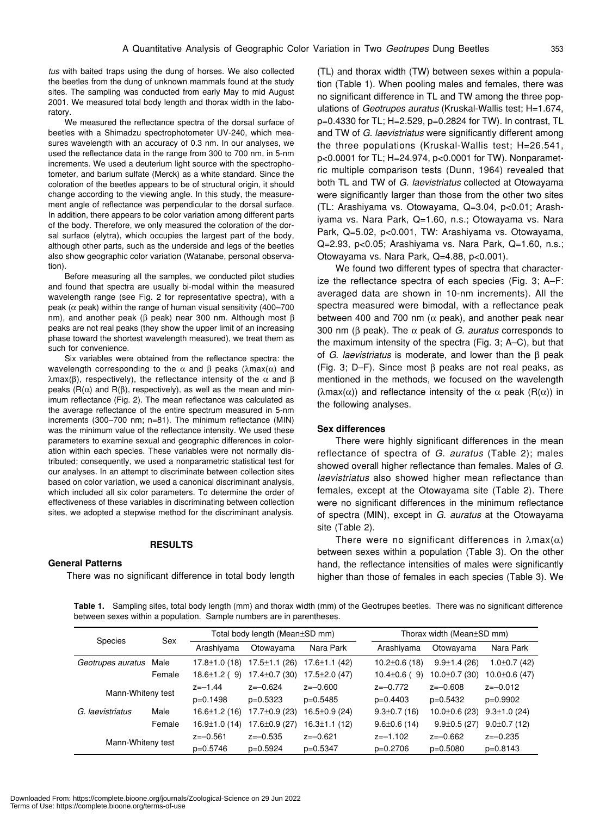*tus* with baited traps using the dung of horses. We also collected the beetles from the dung of unknown mammals found at the study sites. The sampling was conducted from early May to mid August 2001. We measured total body length and thorax width in the laboratory.

We measured the reflectance spectra of the dorsal surface of beetles with a Shimadzu spectrophotometer UV-240, which measures wavelength with an accuracy of 0.3 nm. In our analyses, we used the reflectance data in the range from 300 to 700 nm, in 5-nm increments. We used a deuterium light source with the spectrophotometer, and barium sulfate (Merck) as a white standard. Since the coloration of the beetles appears to be of structural origin, it should change according to the viewing angle. In this study, the measurement angle of reflectance was perpendicular to the dorsal surface. In addition, there appears to be color variation among different parts of the body. Therefore, we only measured the coloration of the dorsal surface (elytra), which occupies the largest part of the body, although other parts, such as the underside and legs of the beetles also show geographic color variation (Watanabe, personal observation).

Before measuring all the samples, we conducted pilot studies and found that spectra are usually bi-modal within the measured wavelength range (see Fig. 2 for representative spectra), with a peak ( $\alpha$  peak) within the range of human visual sensitivity (400–700 nm), and another peak (β peak) near 300 nm. Although most β peaks are not real peaks (they show the upper limit of an increasing phase toward the shortest wavelength measured), we treat them as such for convenience.

Six variables were obtained from the reflectance spectra: the wavelength corresponding to the  $\alpha$  and  $\beta$  peaks ( $\lambda$ max( $\alpha$ ) and λmax(β), respectively), the reflectance intensity of the  $\alpha$  and β peaks (R( $α$ ) and R( $β$ ), respectively), as well as the mean and minimum reflectance (Fig. 2). The mean reflectance was calculated as the average reflectance of the entire spectrum measured in 5-nm increments (300–700 nm; n=81). The minimum reflectance (MIN) was the minimum value of the reflectance intensity. We used these parameters to examine sexual and geographic differences in coloration within each species. These variables were not normally distributed; consequently, we used a nonparametric statistical test for our analyses. In an attempt to discriminate between collection sites based on color variation, we used a canonical discriminant analysis, which included all six color parameters. To determine the order of effectiveness of these variables in discriminating between collection sites, we adopted a stepwise method for the discriminant analysis.

# **RESULTS**

#### **General Patterns**

There was no significant difference in total body length

(TL) and thorax width (TW) between sexes within a population (Table 1). When pooling males and females, there was no significant difference in TL and TW among the three populations of *Geotrupes auratus* (Kruskal-Wallis test; H=1.674, p=0.4330 for TL; H=2.529, p=0.2824 for TW). In contrast, TL and TW of *G. laevistriatus* were significantly different among the three populations (Kruskal-Wallis test; H=26.541, p<0.0001 for TL; H=24.974, p<0.0001 for TW). Nonparametric multiple comparison tests (Dunn, 1964) revealed that both TL and TW of *G. laevistriatus* collected at Otowayama were significantly larger than those from the other two sites (TL: Arashiyama vs. Otowayama, Q=3.04, p<0.01; Arashiyama vs. Nara Park, Q=1.60, n.s.; Otowayama vs. Nara Park, Q=5.02, p<0.001, TW: Arashiyama vs. Otowayama, Q=2.93, p<0.05; Arashiyama vs. Nara Park, Q=1.60, n.s.; Otowayama vs. Nara Park, Q=4.88, p<0.001).

We found two different types of spectra that characterize the reflectance spectra of each species (Fig. 3; A–F: averaged data are shown in 10-nm increments). All the spectra measured were bimodal, with a reflectance peak between 400 and 700 nm ( $\alpha$  peak), and another peak near 300 nm (β peak). The α peak of *G. auratus* corresponds to the maximum intensity of the spectra (Fig. 3; A–C), but that of *G. laevistriatus* is moderate, and lower than the β peak (Fig. 3; D–F). Since most β peaks are not real peaks, as mentioned in the methods, we focused on the wavelength ( $\lambda$ max( $\alpha$ )) and reflectance intensity of the  $\alpha$  peak (R( $\alpha$ )) in the following analyses.

#### **Sex differences**

There were highly significant differences in the mean reflectance of spectra of *G. auratus* (Table 2); males showed overall higher reflectance than females. Males of *G. laevistriatus* also showed higher mean reflectance than females, except at the Otowayama site (Table 2). There were no significant differences in the minimum reflectance of spectra (MIN), except in *G. auratus* at the Otowayama site (Table 2).

There were no significant differences in  $\lambda max(\alpha)$ between sexes within a population (Table 3). On the other hand, the reflectance intensities of males were significantly higher than those of females in each species (Table 3). We

**Table 1.** Sampling sites, total body length (mm) and thorax width (mm) of the Geotrupes beetles. There was no significant difference between sexes within a population. Sample numbers are in parentheses.

|                   |        |                     | Total body length (Mean±SD mm) |                     |                     | Thorax width (Mean±SD mm) |                     |  |  |
|-------------------|--------|---------------------|--------------------------------|---------------------|---------------------|---------------------------|---------------------|--|--|
| Species           | Sex    | Arashiyama          | Otowayama                      | Nara Park           | Arashiyama          | Otowayama                 | Nara Park           |  |  |
| Geotrupes auratus | Male   | $17.8 \pm 1.0$ (18) | $17.5 \pm 1.1$ (26)            | $17.6 \pm 1.1$ (42) | $10.2 \pm 0.6$ (18) | $9.9 \pm 1.4$ (26)        | $1.0 \pm 0.7$ (42)  |  |  |
| Female            |        | $18.6 \pm 1.2$ (9)  | $17.4 \pm 0.7$ (30)            | $17.5 \pm 2.0$ (47) | $10.4 \pm 0.6$ (9)  | $10.0 \pm 0.7$ (30)       | $10.0 \pm 0.6$ (47) |  |  |
| Mann-Whiteny test |        | $z=-1.44$           | $z=-0.624$                     | $z = -0.600$        | $z=-0.772$          | $z=-0.608$                | $z=-0.012$          |  |  |
|                   |        | $p=0.1498$          | $p=0.5323$                     | $p=0.5485$          | $p=0.4403$          | p=0.5432                  | p=0.9902            |  |  |
| G. laevistriatus  | Male   | $16.6 \pm 1.2(16)$  | $17.7 \pm 0.9$ (23)            | $16.5 \pm 0.9$ (24) | $9.3 \pm 0.7$ (16)  | $10.0 \pm 0.6$ (23)       | $9.3 \pm 1.0$ (24)  |  |  |
|                   | Female | $16.9 \pm 1.0$ (14) | 17.6±0.9 (27)                  | $16.3 \pm 1.1$ (12) | $9.6 \pm 0.6$ (14)  | $9.9 \pm 0.5$ (27)        | $9.0 \pm 0.7$ (12)  |  |  |
| Mann-Whiteny test |        | $z=-0.561$          | $z=-0.535$                     | $z=-0.621$          | $z=-1.102$          | $z=-0.662$                | $z=-0.235$          |  |  |
|                   |        | $p=0.5746$          | p=0.5924                       | p=0.5347            | $p=0.2706$          | p=0.5080                  | $p=0.8143$          |  |  |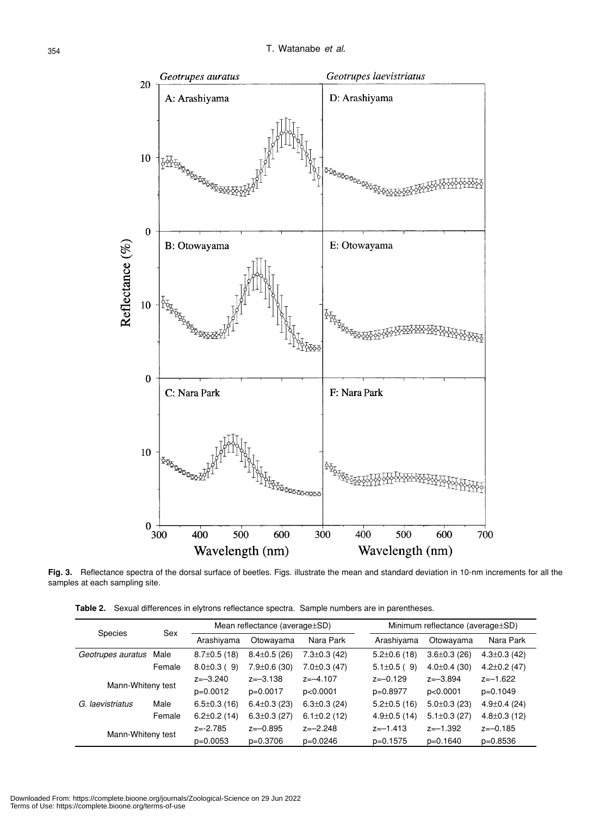

**Fig. 3.** Reflectance spectra of the dorsal surface of beetles. Figs. illustrate the mean and standard deviation in 10-nm increments for all the samples at each sampling site.

**Table 2.** Sexual differences in elytrons reflectance spectra. Sample numbers are in parentheses.

| Species           | Sex    |                    | Mean reflectance (average \times SD) |                    | Minimum reflectance (average \times SD)                                                                                                                                                                                                                                                                                                                                                                                               |            |          |  |  |
|-------------------|--------|--------------------|--------------------------------------|--------------------|---------------------------------------------------------------------------------------------------------------------------------------------------------------------------------------------------------------------------------------------------------------------------------------------------------------------------------------------------------------------------------------------------------------------------------------|------------|----------|--|--|
|                   |        | Arashiyama         | Otowayama                            | Nara Park          | Arashiyama<br>Nara Park<br>Otowayama<br>$4.3 \pm 0.3$ (42)<br>$5.2 \pm 0.6$ (18)<br>$3.6 \pm 0.3$ (26)<br>$4.0 \pm 0.4$ (30)<br>$5.1 \pm 0.5$ (9)<br>$4.2 \pm 0.2$ (47)<br>$z=-0.129$<br>$z=-3.894$<br>$z=-1.622$<br>p<0.0001<br>p=0.8977<br>$p=0.1049$<br>$5.2 \pm 0.5$ (16)<br>$5.0 \pm 0.3$ (23)<br>$4.9 \pm 0.4$ (24)<br>$4.9 \pm 0.5$ (14)<br>$5.1 \pm 0.3$ (27)<br>$4.8 \pm 0.3$ (12)<br>$z=-1.413$<br>$z=-1.392$<br>$z=-0.185$ |            |          |  |  |
| Geotrupes auratus | Male   | $8.7 \pm 0.5$ (18) | $8.4 \pm 0.5$ (26)                   | $7.3 \pm 0.3$ (42) |                                                                                                                                                                                                                                                                                                                                                                                                                                       |            |          |  |  |
| Female            |        | $8.0 \pm 0.3$ (9)  | $7.9 \pm 0.6$ (30)                   | $7.0 \pm 0.3$ (47) |                                                                                                                                                                                                                                                                                                                                                                                                                                       |            |          |  |  |
| Mann-Whiteny test |        | $z=-3.240$         | $z=-3.138$                           | $z=-4.107$         |                                                                                                                                                                                                                                                                                                                                                                                                                                       |            |          |  |  |
|                   |        | $p=0.0012$         | p=0.0017                             | p<0.0001           |                                                                                                                                                                                                                                                                                                                                                                                                                                       |            |          |  |  |
| G. laevistriatus  | Male   | $6.5 \pm 0.3$ (16) | $6.4 \pm 0.3$ (23)                   | $6.3 \pm 0.3$ (24) |                                                                                                                                                                                                                                                                                                                                                                                                                                       |            |          |  |  |
|                   | Female | $6.2 \pm 0.2$ (14) | $6.3 \pm 0.3$ (27)                   | $6.1 \pm 0.2$ (12) |                                                                                                                                                                                                                                                                                                                                                                                                                                       |            |          |  |  |
| Mann-Whiteny test |        | $z=-2.785$         | $z=-0.895$                           | $z=-2.248$         |                                                                                                                                                                                                                                                                                                                                                                                                                                       |            |          |  |  |
|                   |        | $p=0.0053$         | $p=0.3706$                           | $p=0.0246$         | $p=0.1575$                                                                                                                                                                                                                                                                                                                                                                                                                            | $p=0.1640$ | p=0.8536 |  |  |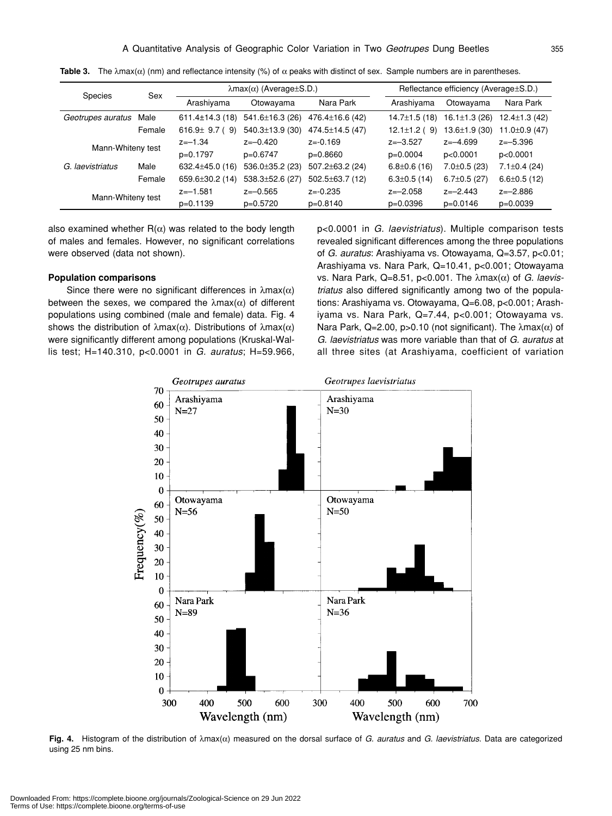|                   | Sex    |                         | $\lambda$ max( $\alpha$ ) (Average S.D.) |                       | Reflectance efficiency (Average html.) |                     |                     |  |
|-------------------|--------|-------------------------|------------------------------------------|-----------------------|----------------------------------------|---------------------|---------------------|--|
| <b>Species</b>    |        | Arashiyama              | Otowayama                                | Nara Park             | Arashivama                             | Otowayama           | Nara Park           |  |
| Geotrupes auratus | Male   | $611.4 \pm 14.3(18)$    | 541.6±16.3 (26)                          | 476.4±16.6 (42)       | $14.7 \pm 1.5$ (18)                    | $16.1 \pm 1.3$ (26) | $12.4 \pm 1.3$ (42) |  |
| Female            |        | 616.9 $\pm$ 9.7 (<br>9) | $540.3 \pm 13.9$ (30)                    | 474.5±14.5 (47)       | $12.1 \pm 1.2$ (<br>- 9)               | 13.6±1.9 (30)       | 11.0 $\pm$ 0.9 (47) |  |
| Mann-Whiteny test |        | $z = -1.34$             | $z=-0.420$                               | $z = -0.169$          | $z=-3.527$                             | $z=-4.699$          | $z = -5.396$        |  |
|                   |        | p=0.1797                | p=0.6747                                 | p=0.8660              | p=0.0004                               | p<0.0001            | p<0.0001            |  |
| G. laevistriatus  | Male   | 632.4 $\pm$ 45.0 (16)   | 536.0±35.2 (23)                          | 507.2±63.2 (24)       | $6.8 \pm 0.6$ (16)                     | $7.0 \pm 0.5$ (23)  | $7.1 \pm 0.4$ (24)  |  |
|                   | Female | 659.6±30.2 (14)         | 538.3±52.6 (27                           | $502.5 \pm 63.7$ (12) | $6.3 \pm 0.5$ (14)                     | $6.7\pm0.5(27)$     | $6.6 \pm 0.5$ (12)  |  |
| Mann-Whiteny test |        | $z=-1.581$              | $z = -0.565$                             | $z = -0.235$          | $z=-2.058$                             | $z=-2.443$          | $z=-2.886$          |  |
|                   |        | $p=0.1139$              | p=0.5720                                 | $p=0.8140$            | p=0.0396                               | $p=0.0146$          | $p=0.0039$          |  |

**Table 3.** The λmax(α) (nm) and reflectance intensity (%) of α peaks with distinct of sex. Sample numbers are in parentheses.

also examined whether  $R(\alpha)$  was related to the body length of males and females. However, no significant correlations were observed (data not shown).

# **Population comparisons**

Since there were no significant differences in  $\lambda$ max( $\alpha$ ) between the sexes, we compared the  $\lambda$ max( $\alpha$ ) of different populations using combined (male and female) data. Fig. 4 shows the distribution of  $λmax(α)$ . Distributions of  $λmax(α)$ were significantly different among populations (Kruskal-Wallis test; H=140.310, p<0.0001 in *G. auratus*; H=59.966, p<0.0001 in *G. laevistriatus*). Multiple comparison tests revealed significant differences among the three populations of *G. auratus*: Arashiyama vs. Otowayama, Q=3.57, p<0.01; Arashiyama vs. Nara Park, Q=10.41, p<0.001; Otowayama vs. Nara Park, Q=8.51, p<0.001. The λmax(α) of *G. laevistriatus* also differed significantly among two of the populations: Arashiyama vs. Otowayama, Q=6.08, p<0.001; Arashiyama vs. Nara Park, Q=7.44, p<0.001; Otowayama vs. Nara Park, Q=2.00, p>0.10 (not significant). The  $λmax(α)$  of *G. laevistriatus* was more variable than that of *G. auratus* at all three sites (at Arashiyama, coefficient of variation



**Fig. 4.** Histogram of the distribution of λmax(α) measured on the dorsal surface of *G. auratus* and *G. laevistriatus*. Data are categorized using 25 nm bins.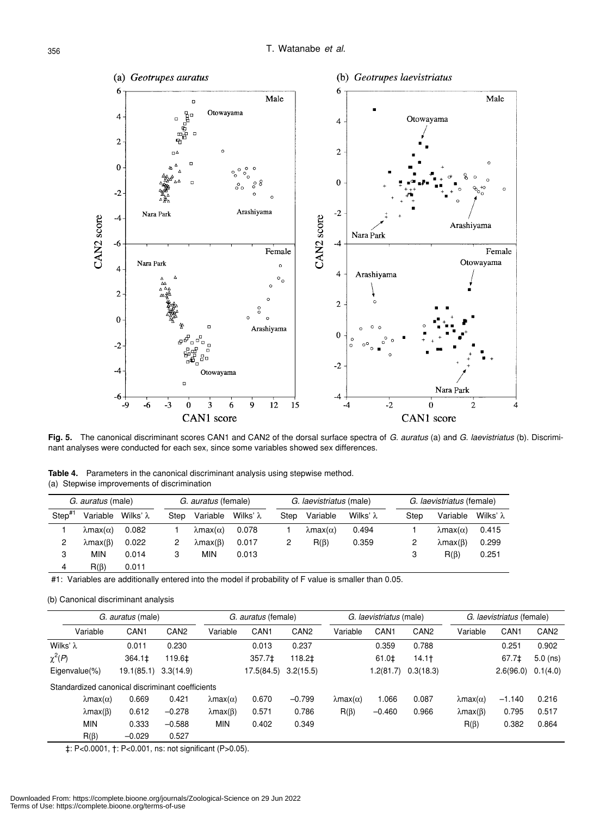

**Fig. 5.** The canonical discriminant scores CAN1 and CAN2 of the dorsal surface spectra of *G. auratus* (a) and *G. laevistriatus* (b). Discriminant analyses were conducted for each sex, since some variables showed sex differences.

**Table 4.** Parameters in the canonical discriminant analysis using stepwise method. (a) Stepwise improvements of discrimination

| G. auratus (male)  |                          | G. auratus (female) |      |                          | G. laevistriatus (male) |      |                          |                  | G. laevistriatus (female) |                          |                  |
|--------------------|--------------------------|---------------------|------|--------------------------|-------------------------|------|--------------------------|------------------|---------------------------|--------------------------|------------------|
| Step <sup>#1</sup> | Variable                 | Wilks' $\lambda$    | Step | Variable                 | Wilks' $\lambda$        | Step | Variable                 | Wilks' $\lambda$ | Step                      | Variable                 | Wilks' $\lambda$ |
|                    | $\lambda$ max $(\alpha)$ | 0.082               |      | $\lambda$ max $(\alpha)$ | 0.078                   |      | $\lambda$ max $(\alpha)$ | 0.494            |                           | $\lambda$ max $(\alpha)$ | 0.415            |
| 2                  | $\lambda$ max $(\beta)$  | 0.022               |      | $\lambda$ max $(\beta)$  | 0.017                   |      | $R(\beta)$               | 0.359            | 2                         | $\lambda$ max $(\beta)$  | 0.299            |
| 3                  | <b>MIN</b>               | 0.014               | З    | <b>MIN</b>               | 0.013                   |      |                          |                  | 3                         | $R(\beta)$               | 0.251            |
| 4                  | $R(\beta)$               | 0.011               |      |                          |                         |      |                          |                  |                           |                          |                  |

#1: Variables are additionally entered into the model if probability of F value is smaller than 0.05.

# (b) Canonical discriminant analysis

| G. auratus (male)                                |                  |                  |                          | G. auratus (female) |                  | G. laevistriatus (male)  |                  |                  | G. laevistriatus (female) |                  |                  |
|--------------------------------------------------|------------------|------------------|--------------------------|---------------------|------------------|--------------------------|------------------|------------------|---------------------------|------------------|------------------|
| Variable                                         | CAN <sub>1</sub> | CAN <sub>2</sub> | Variable                 | CAN <sub>1</sub>    | CAN <sub>2</sub> | Variable                 | CAN <sub>1</sub> | CAN <sub>2</sub> | Variable                  | CAN <sub>1</sub> | CAN <sub>2</sub> |
| Wilks' $\lambda$                                 | 0.011            | 0.230            |                          | 0.013               | 0.237            |                          | 0.359            | 0.788            |                           | 0.251            | 0.902            |
| $\chi^2(P)$                                      | 364.1‡           | 119.6‡           |                          | 357.7‡              | 118.2‡           |                          | 61.0‡            | $14.1+$          |                           | 67.7‡            | $5.0$ (ns)       |
| Eigenvalue(%)                                    | 19.1(85.1)       | 3.3(14.9)        |                          | 17.5(84.5)          | 3.2(15.5)        |                          | 1.2(81.7)        | 0.3(18.3)        |                           | 2.6(96.0)        | 0.1(4.0)         |
| Standardized canonical discriminant coefficients |                  |                  |                          |                     |                  |                          |                  |                  |                           |                  |                  |
| $\lambda$ max $(\alpha)$                         | 0.669            | 0.421            | $\lambda$ max $(\alpha)$ | 0.670               | $-0.799$         | $\lambda$ max $(\alpha)$ | 1.066            | 0.087            | $\lambda$ max $(\alpha)$  | $-1.140$         | 0.216            |
| $\lambda$ max( $\beta$ )                         | 0.612            | $-0.278$         | $\lambda$ max $(\beta)$  | 0.571               | 0.786            | $R(\beta)$               | $-0.460$         | 0.966            | $\lambda$ max $(\beta)$   | 0.795            | 0.517            |
| <b>MIN</b>                                       | 0.333            | $-0.588$         | <b>MIN</b>               | 0.402               | 0.349            |                          |                  |                  | $R(\beta)$                | 0.382            | 0.864            |
| $R(\beta)$                                       | $-0.029$         | 0.527            |                          |                     |                  |                          |                  |                  |                           |                  |                  |

‡: P<0.0001, †: P<0.001, ns: not significant (P>0.05).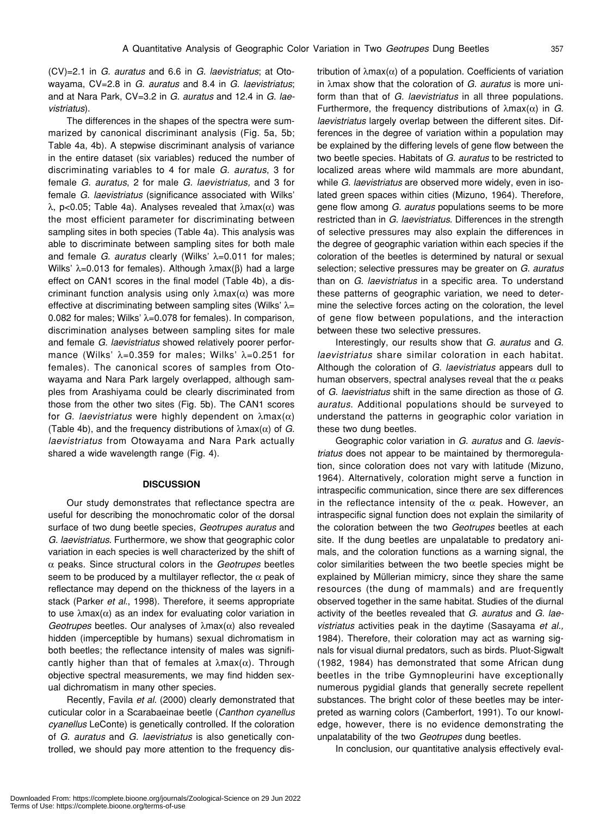(CV)=2.1 in *G. auratus* and 6.6 in *G. laevistriatus*; at Otowayama, CV=2.8 in *G. auratus* and 8.4 in *G. laevistriatus*; and at Nara Park, CV=3.2 in *G. auratus* and 12.4 in *G. laevistriatus*).

The differences in the shapes of the spectra were summarized by canonical discriminant analysis (Fig. 5a, 5b; Table 4a, 4b). A stepwise discriminant analysis of variance in the entire dataset (six variables) reduced the number of discriminating variables to 4 for male *G. auratus*, 3 for female *G. auratus*, 2 for male *G. laevistriatus,* and 3 for female *G. laevistriatus* (significance associated with Wilks' λ, p<0.05; Table 4a). Analyses revealed that λmax(α) was the most efficient parameter for discriminating between sampling sites in both species (Table 4a). This analysis was able to discriminate between sampling sites for both male and female *G. auratus* clearly (Wilks' λ=0.011 for males; Wilks'  $λ=0.013$  for females). Although  $λmax(β)$  had a large effect on CAN1 scores in the final model (Table 4b), a discriminant function analysis using only  $λ$ max( $α$ ) was more effective at discriminating between sampling sites (Wilks'  $\lambda$ = 0.082 for males; Wilks'  $\lambda$ =0.078 for females). In comparison, discrimination analyses between sampling sites for male and female *G. laevistriatus* showed relatively poorer performance (Wilks' λ=0.359 for males; Wilks' λ=0.251 for females). The canonical scores of samples from Otowayama and Nara Park largely overlapped, although samples from Arashiyama could be clearly discriminated from those from the other two sites (Fig. 5b). The CAN1 scores for *G. laevistriatus* were highly dependent on λmax(α) (Table 4b), and the frequency distributions of  $\lambda$ max( $\alpha$ ) of *G*. *laevistriatus* from Otowayama and Nara Park actually shared a wide wavelength range (Fig. 4).

## **DISCUSSION**

Our study demonstrates that reflectance spectra are useful for describing the monochromatic color of the dorsal surface of two dung beetle species, *Geotrupes auratus* and *G. laevistriatus*. Furthermore, we show that geographic color variation in each species is well characterized by the shift of α peaks. Since structural colors in the *Geotrupes* beetles seem to be produced by a multilayer reflector, the  $\alpha$  peak of reflectance may depend on the thickness of the layers in a stack (Parker *et al*., 1998). Therefore, it seems appropriate to use λmax(α) as an index for evaluating color variation in *Geotrupes* beetles. Our analyses of λmax(α) also revealed hidden (imperceptible by humans) sexual dichromatism in both beetles; the reflectance intensity of males was significantly higher than that of females at  $\lambda$ max( $\alpha$ ). Through objective spectral measurements, we may find hidden sexual dichromatism in many other species.

Recently, Favila *et al.* (2000) clearly demonstrated that cuticular color in a Scarabaeinae beetle (*Canthon cyanellus cyanellus* LeConte) is genetically controlled. If the coloration of *G. auratus* and *G. laevistriatus* is also genetically controlled, we should pay more attention to the frequency distribution of λmax(α) of a population. Coefficients of variation in λmax show that the coloration of *G. auratus* is more uniform than that of *G. laevistriatus* in all three populations. Furthermore, the frequency distributions of λmax(α) in *G. laevistriatus* largely overlap between the different sites. Differences in the degree of variation within a population may be explained by the differing levels of gene flow between the two beetle species. Habitats of *G. auratus* to be restricted to localized areas where wild mammals are more abundant, while *G. laevistriatus* are observed more widely, even in isolated green spaces within cities (Mizuno, 1964). Therefore, gene flow among *G. auratus* populations seems to be more restricted than in *G. laevistriatus*. Differences in the strength of selective pressures may also explain the differences in the degree of geographic variation within each species if the coloration of the beetles is determined by natural or sexual selection; selective pressures may be greater on *G. auratus* than on *G. laevistriatus* in a specific area. To understand these patterns of geographic variation, we need to determine the selective forces acting on the coloration, the level of gene flow between populations, and the interaction between these two selective pressures.

Interestingly, our results show that *G. auratus* and *G. laevistriatus* share similar coloration in each habitat. Although the coloration of *G. laevistriatus* appears dull to human observers, spectral analyses reveal that the  $\alpha$  peaks of *G. laevistriatus* shift in the same direction as those of *G. auratus*. Additional populations should be surveyed to understand the patterns in geographic color variation in these two dung beetles.

Geographic color variation in *G. auratus* and *G. laevistriatus* does not appear to be maintained by thermoregulation, since coloration does not vary with latitude (Mizuno, 1964). Alternatively, coloration might serve a function in intraspecific communication, since there are sex differences in the reflectance intensity of the  $\alpha$  peak. However, an intraspecific signal function does not explain the similarity of the coloration between the two *Geotrupes* beetles at each site. If the dung beetles are unpalatable to predatory animals, and the coloration functions as a warning signal, the color similarities between the two beetle species might be explained by Müllerian mimicry, since they share the same resources (the dung of mammals) and are frequently observed together in the same habitat. Studies of the diurnal activity of the beetles revealed that *G. auratus* and *G. laevistriatus* activities peak in the daytime (Sasayama *et al.,* 1984). Therefore, their coloration may act as warning signals for visual diurnal predators, such as birds. Pluot-Sigwalt (1982, 1984) has demonstrated that some African dung beetles in the tribe Gymnopleurini have exceptionally numerous pygidial glands that generally secrete repellent substances. The bright color of these beetles may be interpreted as warning colors (Camberfort, 1991). To our knowledge, however, there is no evidence demonstrating the unpalatability of the two *Geotrupes* dung beetles.

In conclusion, our quantitative analysis effectively eval-